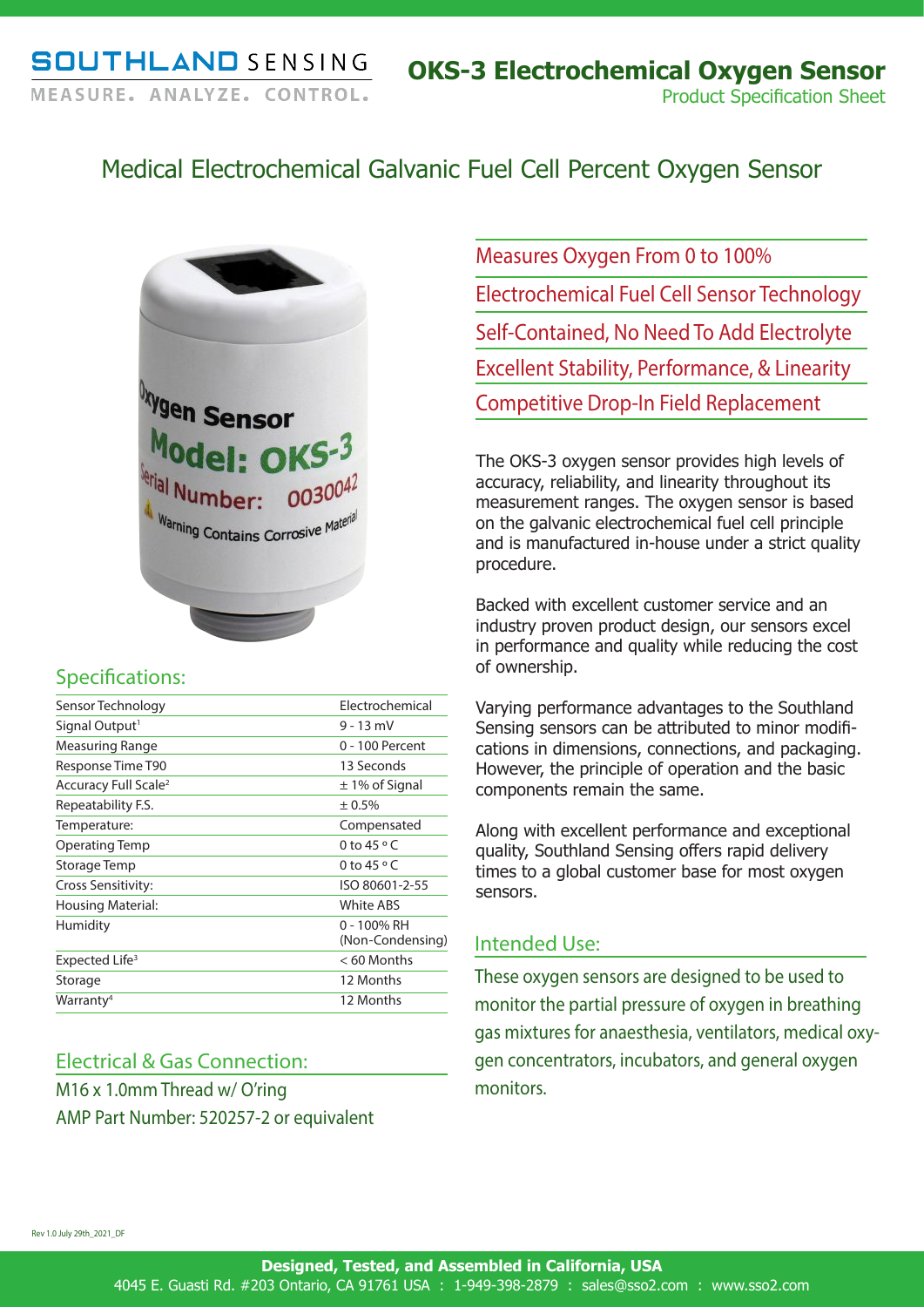# Medical Electrochemical Galvanic Fuel Cell Percent Oxygen Sensor



### Specifications:

| Sensor Technology                | Electrochemical                 |
|----------------------------------|---------------------------------|
| Signal Output <sup>1</sup>       | $9 - 13$ mV                     |
| Measuring Range                  | 0 - 100 Percent                 |
| Response Time T90                | 13 Seconds                      |
| Accuracy Full Scale <sup>2</sup> | $\pm$ 1% of Signal              |
| Repeatability F.S.               | ± 0.5%                          |
| Temperature:                     | Compensated                     |
| Operating Temp                   | 0 to 45 $\circ$ C               |
| Storage Temp                     | 0 to $45 \circ C$               |
| Cross Sensitivity:               | ISO 80601-2-55                  |
| Housing Material:                | White ABS                       |
| Humidity                         | 0 - 100% RH<br>(Non-Condensing) |
| Expected Life <sup>3</sup>       | $< 60$ Months                   |
| Storage                          | 12 Months                       |
| Warranty <sup>4</sup>            | 12 Months                       |

## Electrical & Gas Connection:

M16 x 1.0mm Thread w/ O'ring AMP Part Number: 520257-2 or equivalent Measures Oxygen From 0 to 100% Electrochemical Fuel Cell Sensor Technology Self-Contained, No Need To Add Electrolyte Excellent Stability, Performance, & Linearity Competitive Drop-In Field Replacement

The OKS-3 oxygen sensor provides high levels of accuracy, reliability, and linearity throughout its measurement ranges. The oxygen sensor is based on the galvanic electrochemical fuel cell principle and is manufactured in-house under a strict quality procedure.

Backed with excellent customer service and an industry proven product design, our sensors excel in performance and quality while reducing the cost of ownership.

Varying performance advantages to the Southland Sensing sensors can be attributed to minor modifications in dimensions, connections, and packaging. However, the principle of operation and the basic components remain the same.

Along with excellent performance and exceptional quality, Southland Sensing offers rapid delivery times to a global customer base for most oxygen sensors.

#### Intended Use:

These oxygen sensors are designed to be used to monitor the partial pressure of oxygen in breathing gas mixtures for anaesthesia, ventilators, medical oxygen concentrators, incubators, and general oxygen monitors.

Rev 1.0 July 29th\_2021\_DF